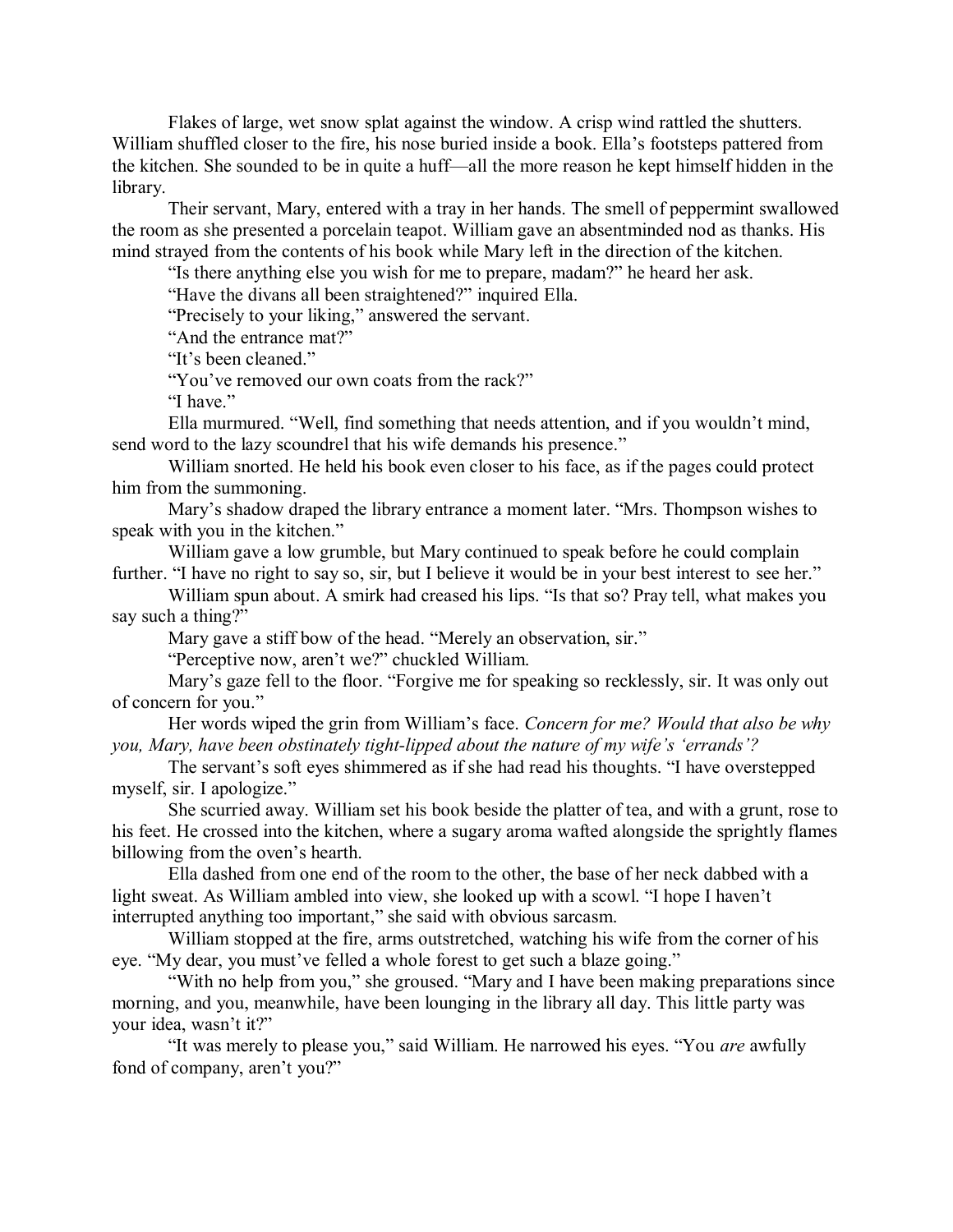Flakes of large, wet snow splat against the window. A crisp wind rattled the shutters. William shuffled closer to the fire, his nose buried inside a book. Ella's footsteps pattered from the kitchen. She sounded to be in quite a huff—all the more reason he kept himself hidden in the library.

Their servant, Mary, entered with a tray in her hands. The smell of peppermint swallowed the room as she presented a porcelain teapot. William gave an absentminded nod as thanks. His mind strayed from the contents of his book while Mary left in the direction of the kitchen.

"Is there anything else you wish for me to prepare, madam?" he heard her ask.

"Have the divans all been straightened?" inquired Ella.

"Precisely to your liking," answered the servant.

"And the entrance mat?"

"It's been cleaned."

"You've removed our own coats from the rack?"

"I have."

Ella murmured. "Well, find something that needs attention, and if you wouldn't mind, send word to the lazy scoundrel that his wife demands his presence."

William snorted. He held his book even closer to his face, as if the pages could protect him from the summoning.

Mary's shadow draped the library entrance a moment later. "Mrs. Thompson wishes to speak with you in the kitchen."

William gave a low grumble, but Mary continued to speak before he could complain further. "I have no right to say so, sir, but I believe it would be in your best interest to see her."

William spun about. A smirk had creased his lips. "Is that so? Pray tell, what makes you say such a thing?"

Mary gave a stiff bow of the head. "Merely an observation, sir."

"Perceptive now, aren't we?" chuckled William.

Mary's gaze fell to the floor. "Forgive me for speaking so recklessly, sir. It was only out of concern for you."

Her words wiped the grin from William's face. *Concern for me? Would that also be why you, Mary, have been obstinately tight-lipped about the nature of my wife's 'errands'?*

The servant's soft eyes shimmered as if she had read his thoughts. "I have overstepped myself, sir. I apologize."

She scurried away. William set his book beside the platter of tea, and with a grunt, rose to his feet. He crossed into the kitchen, where a sugary aroma wafted alongside the sprightly flames billowing from the oven's hearth.

Ella dashed from one end of the room to the other, the base of her neck dabbed with a light sweat. As William ambled into view, she looked up with a scowl. "I hope I haven't interrupted anything too important," she said with obvious sarcasm.

William stopped at the fire, arms outstretched, watching his wife from the corner of his eye. "My dear, you must've felled a whole forest to get such a blaze going."

"With no help from you," she groused. "Mary and I have been making preparations since morning, and you, meanwhile, have been lounging in the library all day. This little party was your idea, wasn't it?"

"It was merely to please you," said William. He narrowed his eyes. "You *are* awfully fond of company, aren't you?"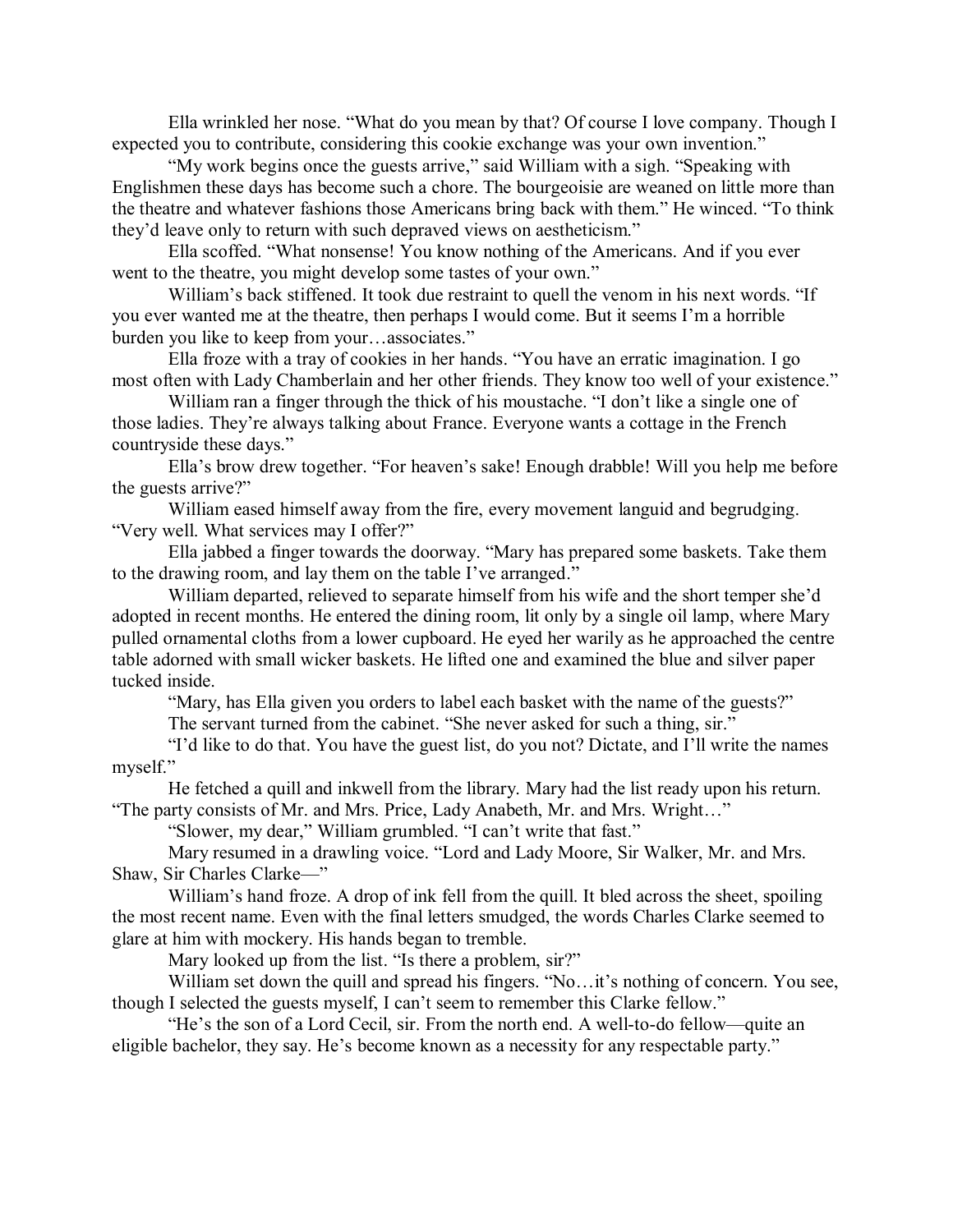Ella wrinkled her nose. "What do you mean by that? Of course I love company. Though I expected you to contribute, considering this cookie exchange was your own invention."

"My work begins once the guests arrive," said William with a sigh. "Speaking with Englishmen these days has become such a chore. The bourgeoisie are weaned on little more than the theatre and whatever fashions those Americans bring back with them." He winced. "To think they'd leave only to return with such depraved views on aestheticism."

Ella scoffed. "What nonsense! You know nothing of the Americans. And if you ever went to the theatre, you might develop some tastes of your own."

William's back stiffened. It took due restraint to quell the venom in his next words. "If you ever wanted me at the theatre, then perhaps I would come. But it seems I'm a horrible burden you like to keep from your…associates."

Ella froze with a tray of cookies in her hands. "You have an erratic imagination. I go most often with Lady Chamberlain and her other friends. They know too well of your existence."

William ran a finger through the thick of his moustache. "I don't like a single one of those ladies. They're always talking about France. Everyone wants a cottage in the French countryside these days."

Ella's brow drew together. "For heaven's sake! Enough drabble! Will you help me before the guests arrive?"

William eased himself away from the fire, every movement languid and begrudging. "Very well. What services may I offer?"

Ella jabbed a finger towards the doorway. "Mary has prepared some baskets. Take them to the drawing room, and lay them on the table I've arranged."

William departed, relieved to separate himself from his wife and the short temper she'd adopted in recent months. He entered the dining room, lit only by a single oil lamp, where Mary pulled ornamental cloths from a lower cupboard. He eyed her warily as he approached the centre table adorned with small wicker baskets. He lifted one and examined the blue and silver paper tucked inside.

"Mary, has Ella given you orders to label each basket with the name of the guests?"

The servant turned from the cabinet. "She never asked for such a thing, sir."

"I'd like to do that. You have the guest list, do you not? Dictate, and I'll write the names myself."

He fetched a quill and inkwell from the library. Mary had the list ready upon his return. "The party consists of Mr. and Mrs. Price, Lady Anabeth, Mr. and Mrs. Wright…"

"Slower, my dear," William grumbled. "I can't write that fast."

Mary resumed in a drawling voice. "Lord and Lady Moore, Sir Walker, Mr. and Mrs. Shaw, Sir Charles Clarke—"

William's hand froze. A drop of ink fell from the quill. It bled across the sheet, spoiling the most recent name. Even with the final letters smudged, the words Charles Clarke seemed to glare at him with mockery. His hands began to tremble.

Mary looked up from the list. "Is there a problem, sir?"

William set down the quill and spread his fingers. "No...it's nothing of concern. You see, though I selected the guests myself, I can't seem to remember this Clarke fellow."

"He's the son of a Lord Cecil, sir. From the north end. A well-to-do fellow—quite an eligible bachelor, they say. He's become known as a necessity for any respectable party."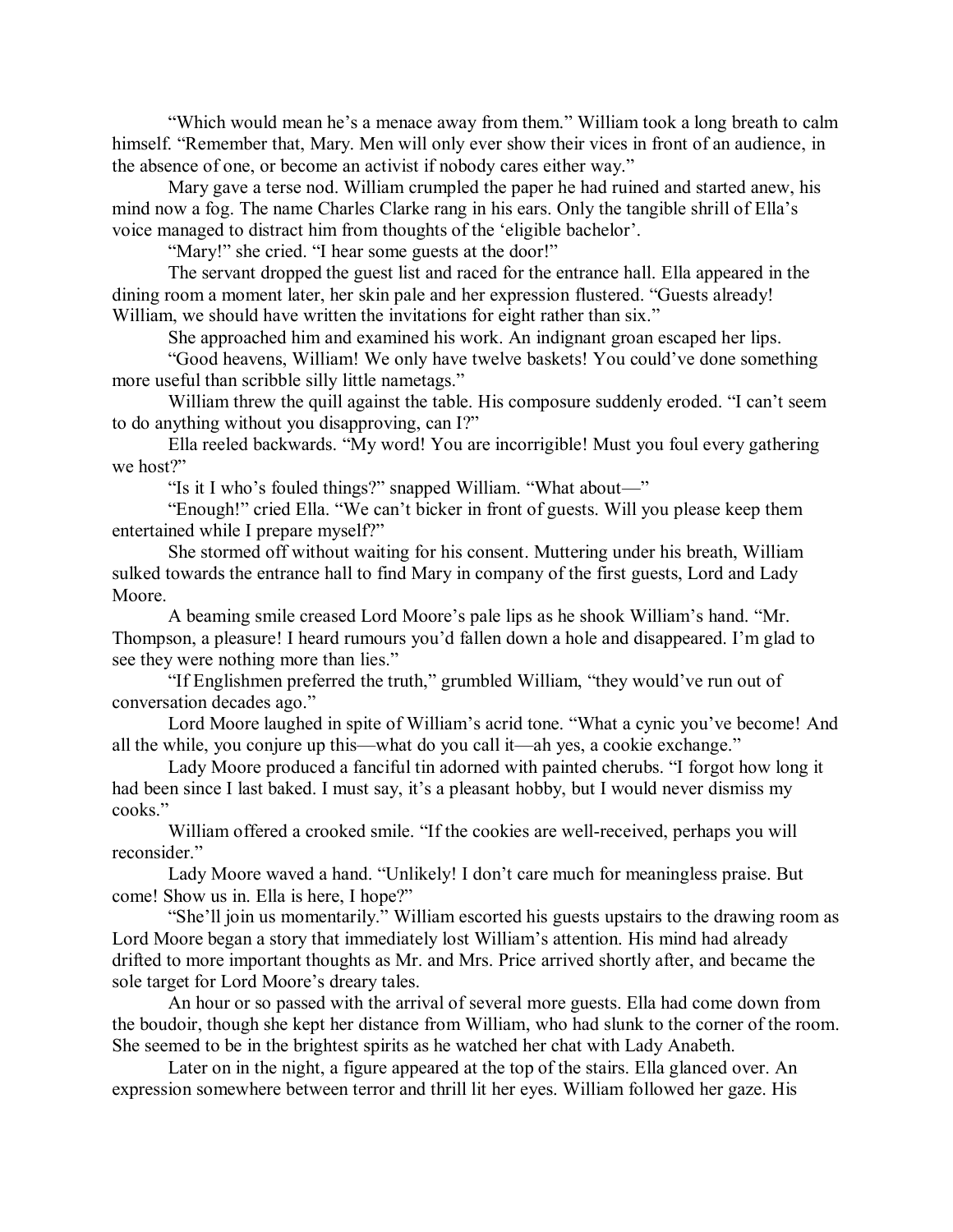"Which would mean he's a menace away from them." William took a long breath to calm himself. "Remember that, Mary. Men will only ever show their vices in front of an audience, in the absence of one, or become an activist if nobody cares either way."

Mary gave a terse nod. William crumpled the paper he had ruined and started anew, his mind now a fog. The name Charles Clarke rang in his ears. Only the tangible shrill of Ella's voice managed to distract him from thoughts of the 'eligible bachelor'.

"Mary!" she cried. "I hear some guests at the door!"

The servant dropped the guest list and raced for the entrance hall. Ella appeared in the dining room a moment later, her skin pale and her expression flustered. "Guests already! William, we should have written the invitations for eight rather than six."

She approached him and examined his work. An indignant groan escaped her lips.

"Good heavens, William! We only have twelve baskets! You could've done something more useful than scribble silly little nametags."

William threw the quill against the table. His composure suddenly eroded. "I can't seem to do anything without you disapproving, can I?"

Ella reeled backwards. "My word! You are incorrigible! Must you foul every gathering we host?"

"Is it I who's fouled things?" snapped William. "What about—"

"Enough!" cried Ella. "We can't bicker in front of guests. Will you please keep them entertained while I prepare myself?"

She stormed off without waiting for his consent. Muttering under his breath, William sulked towards the entrance hall to find Mary in company of the first guests, Lord and Lady Moore.

A beaming smile creased Lord Moore's pale lips as he shook William's hand. "Mr. Thompson, a pleasure! I heard rumours you'd fallen down a hole and disappeared. I'm glad to see they were nothing more than lies."

"If Englishmen preferred the truth," grumbled William, "they would've run out of conversation decades ago."

Lord Moore laughed in spite of William's acrid tone. "What a cynic you've become! And all the while, you conjure up this—what do you call it—ah yes, a cookie exchange."

Lady Moore produced a fanciful tin adorned with painted cherubs. "I forgot how long it had been since I last baked. I must say, it's a pleasant hobby, but I would never dismiss my cooks."

William offered a crooked smile. "If the cookies are well-received, perhaps you will reconsider."

Lady Moore waved a hand. "Unlikely! I don't care much for meaningless praise. But come! Show us in. Ella is here, I hope?"

"She'll join us momentarily." William escorted his guests upstairs to the drawing room as Lord Moore began a story that immediately lost William's attention. His mind had already drifted to more important thoughts as Mr. and Mrs. Price arrived shortly after, and became the sole target for Lord Moore's dreary tales.

An hour or so passed with the arrival of several more guests. Ella had come down from the boudoir, though she kept her distance from William, who had slunk to the corner of the room. She seemed to be in the brightest spirits as he watched her chat with Lady Anabeth.

Later on in the night, a figure appeared at the top of the stairs. Ella glanced over. An expression somewhere between terror and thrill lit her eyes. William followed her gaze. His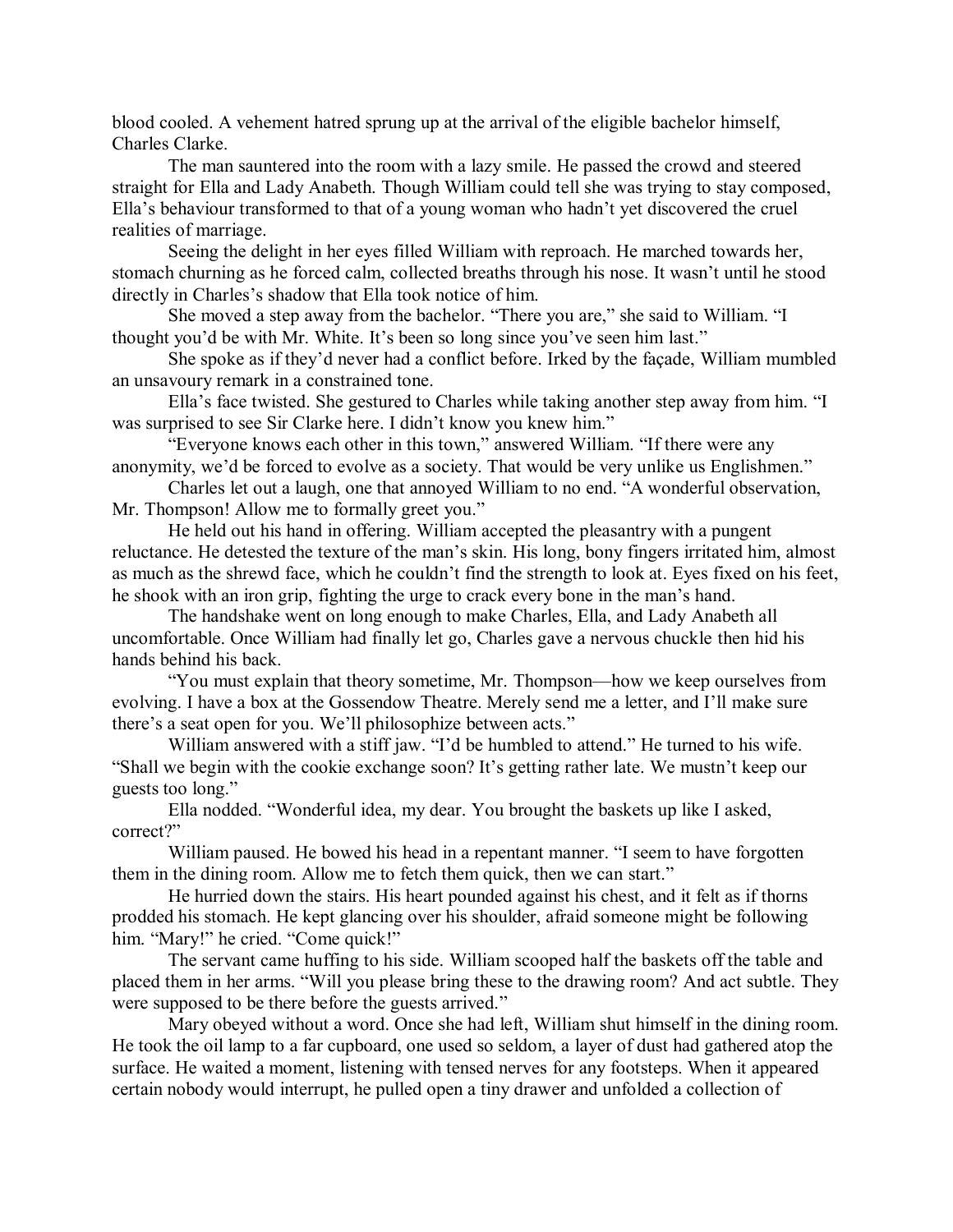blood cooled. A vehement hatred sprung up at the arrival of the eligible bachelor himself, Charles Clarke.

The man sauntered into the room with a lazy smile. He passed the crowd and steered straight for Ella and Lady Anabeth. Though William could tell she was trying to stay composed, Ella's behaviour transformed to that of a young woman who hadn't yet discovered the cruel realities of marriage.

Seeing the delight in her eyes filled William with reproach. He marched towards her, stomach churning as he forced calm, collected breaths through his nose. It wasn't until he stood directly in Charles's shadow that Ella took notice of him.

She moved a step away from the bachelor. "There you are," she said to William. "I thought you'd be with Mr. White. It's been so long since you've seen him last."

She spoke as if they'd never had a conflict before. Irked by the façade, William mumbled an unsavoury remark in a constrained tone.

Ella's face twisted. She gestured to Charles while taking another step away from him. "I was surprised to see Sir Clarke here. I didn't know you knew him."

"Everyone knows each other in this town," answered William. "If there were any anonymity, we'd be forced to evolve as a society. That would be very unlike us Englishmen."

Charles let out a laugh, one that annoyed William to no end. "A wonderful observation, Mr. Thompson! Allow me to formally greet you."

He held out his hand in offering. William accepted the pleasantry with a pungent reluctance. He detested the texture of the man's skin. His long, bony fingers irritated him, almost as much as the shrewd face, which he couldn't find the strength to look at. Eyes fixed on his feet, he shook with an iron grip, fighting the urge to crack every bone in the man's hand.

The handshake went on long enough to make Charles, Ella, and Lady Anabeth all uncomfortable. Once William had finally let go, Charles gave a nervous chuckle then hid his hands behind his back.

"You must explain that theory sometime, Mr. Thompson—how we keep ourselves from evolving. I have a box at the Gossendow Theatre. Merely send me a letter, and I'll make sure there's a seat open for you. We'll philosophize between acts."

William answered with a stiff jaw. "I'd be humbled to attend." He turned to his wife. "Shall we begin with the cookie exchange soon? It's getting rather late. We mustn't keep our guests too long."

Ella nodded. "Wonderful idea, my dear. You brought the baskets up like I asked, correct?"

William paused. He bowed his head in a repentant manner. "I seem to have forgotten them in the dining room. Allow me to fetch them quick, then we can start."

He hurried down the stairs. His heart pounded against his chest, and it felt as if thorns prodded his stomach. He kept glancing over his shoulder, afraid someone might be following him. "Mary!" he cried. "Come quick!"

The servant came huffing to his side. William scooped half the baskets off the table and placed them in her arms. "Will you please bring these to the drawing room? And act subtle. They were supposed to be there before the guests arrived."

Mary obeyed without a word. Once she had left, William shut himself in the dining room. He took the oil lamp to a far cupboard, one used so seldom, a layer of dust had gathered atop the surface. He waited a moment, listening with tensed nerves for any footsteps. When it appeared certain nobody would interrupt, he pulled open a tiny drawer and unfolded a collection of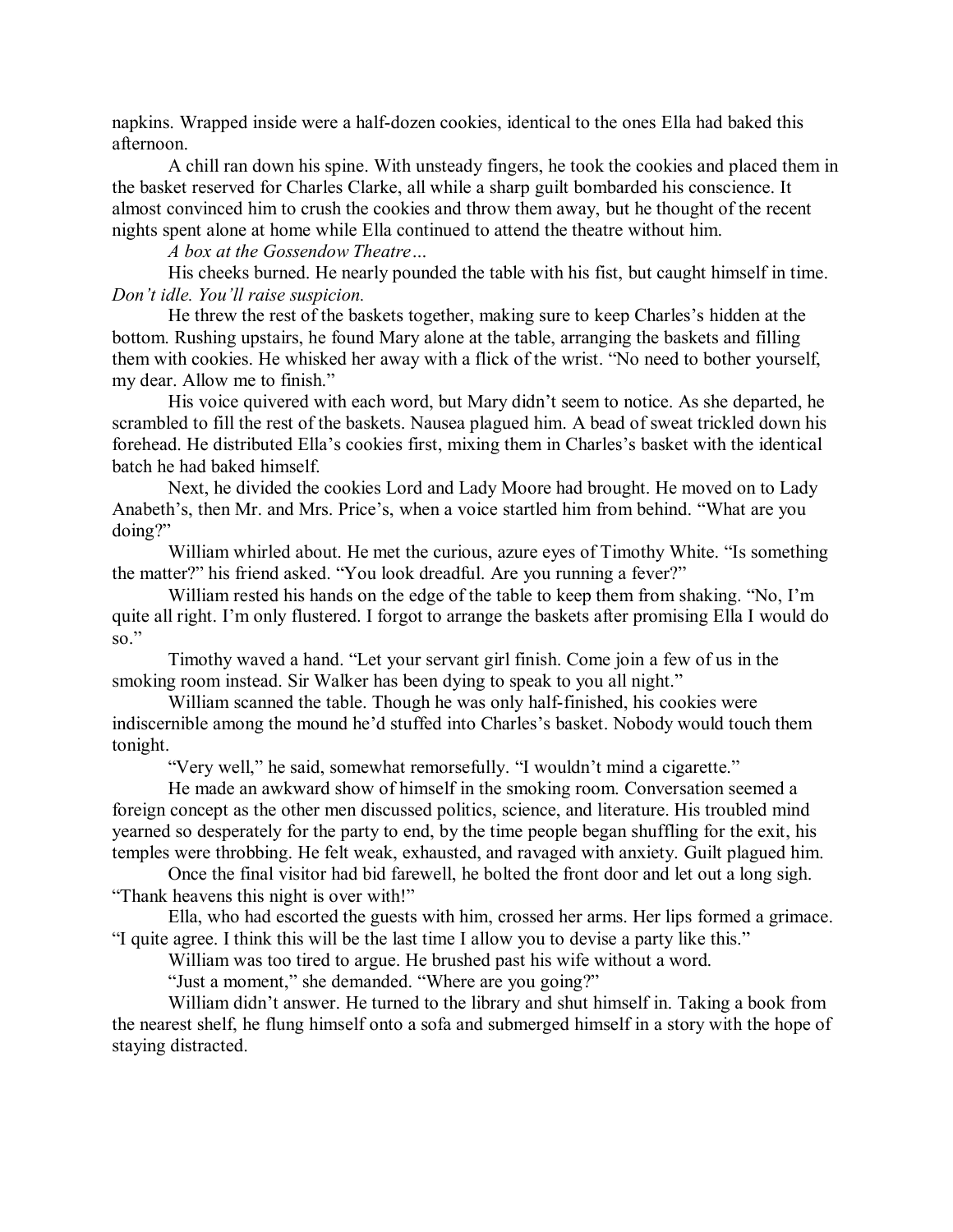napkins. Wrapped inside were a half-dozen cookies, identical to the ones Ella had baked this afternoon.

A chill ran down his spine. With unsteady fingers, he took the cookies and placed them in the basket reserved for Charles Clarke, all while a sharp guilt bombarded his conscience. It almost convinced him to crush the cookies and throw them away, but he thought of the recent nights spent alone at home while Ella continued to attend the theatre without him.

*A box at the Gossendow Theatre…*

His cheeks burned. He nearly pounded the table with his fist, but caught himself in time. *Don't idle. You'll raise suspicion.*

He threw the rest of the baskets together, making sure to keep Charles's hidden at the bottom. Rushing upstairs, he found Mary alone at the table, arranging the baskets and filling them with cookies. He whisked her away with a flick of the wrist. "No need to bother yourself, my dear. Allow me to finish."

His voice quivered with each word, but Mary didn't seem to notice. As she departed, he scrambled to fill the rest of the baskets. Nausea plagued him. A bead of sweat trickled down his forehead. He distributed Ella's cookies first, mixing them in Charles's basket with the identical batch he had baked himself.

Next, he divided the cookies Lord and Lady Moore had brought. He moved on to Lady Anabeth's, then Mr. and Mrs. Price's, when a voice startled him from behind. "What are you doing?"

William whirled about. He met the curious, azure eyes of Timothy White. "Is something the matter?" his friend asked. "You look dreadful. Are you running a fever?"

William rested his hands on the edge of the table to keep them from shaking. "No, I'm quite all right. I'm only flustered. I forgot to arrange the baskets after promising Ella I would do so."

Timothy waved a hand. "Let your servant girl finish. Come join a few of us in the smoking room instead. Sir Walker has been dying to speak to you all night."

William scanned the table. Though he was only half-finished, his cookies were indiscernible among the mound he'd stuffed into Charles's basket. Nobody would touch them tonight.

"Very well," he said, somewhat remorsefully. "I wouldn't mind a cigarette."

He made an awkward show of himself in the smoking room. Conversation seemed a foreign concept as the other men discussed politics, science, and literature. His troubled mind yearned so desperately for the party to end, by the time people began shuffling for the exit, his temples were throbbing. He felt weak, exhausted, and ravaged with anxiety. Guilt plagued him.

Once the final visitor had bid farewell, he bolted the front door and let out a long sigh. "Thank heavens this night is over with!"

Ella, who had escorted the guests with him, crossed her arms. Her lips formed a grimace. "I quite agree. I think this will be the last time I allow you to devise a party like this."

William was too tired to argue. He brushed past his wife without a word.

"Just a moment," she demanded. "Where are you going?"

William didn't answer. He turned to the library and shut himself in. Taking a book from the nearest shelf, he flung himself onto a sofa and submerged himself in a story with the hope of staying distracted.